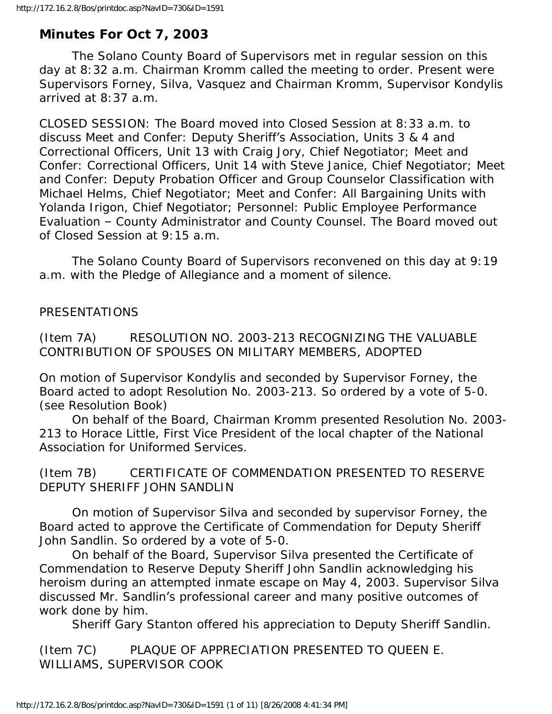# **Minutes For Oct 7, 2003**

 The Solano County Board of Supervisors met in regular session on this day at 8:32 a.m. Chairman Kromm called the meeting to order. Present were Supervisors Forney, Silva, Vasquez and Chairman Kromm, Supervisor Kondylis arrived at 8:37 a.m.

CLOSED SESSION: The Board moved into Closed Session at 8:33 a.m. to discuss Meet and Confer: Deputy Sheriff's Association, Units 3 & 4 and Correctional Officers, Unit 13 with Craig Jory, Chief Negotiator; Meet and Confer: Correctional Officers, Unit 14 with Steve Janice, Chief Negotiator; Meet and Confer: Deputy Probation Officer and Group Counselor Classification with Michael Helms, Chief Negotiator; Meet and Confer: All Bargaining Units with Yolanda Irigon, Chief Negotiator; Personnel: Public Employee Performance Evaluation – County Administrator and County Counsel. The Board moved out of Closed Session at 9:15 a.m.

 The Solano County Board of Supervisors reconvened on this day at 9:19 a.m. with the Pledge of Allegiance and a moment of silence.

### PRESENTATIONS

(Item 7A) RESOLUTION NO. 2003-213 RECOGNIZING THE VALUABLE CONTRIBUTION OF SPOUSES ON MILITARY MEMBERS, ADOPTED

On motion of Supervisor Kondylis and seconded by Supervisor Forney, the Board acted to adopt Resolution No. 2003-213. So ordered by a vote of 5-0. (see Resolution Book)

 On behalf of the Board, Chairman Kromm presented Resolution No. 2003- 213 to Horace Little, First Vice President of the local chapter of the National Association for Uniformed Services.

(Item 7B) CERTIFICATE OF COMMENDATION PRESENTED TO RESERVE DEPUTY SHERIFF JOHN SANDLIN

 On motion of Supervisor Silva and seconded by supervisor Forney, the Board acted to approve the Certificate of Commendation for Deputy Sheriff John Sandlin. So ordered by a vote of 5-0.

 On behalf of the Board, Supervisor Silva presented the Certificate of Commendation to Reserve Deputy Sheriff John Sandlin acknowledging his heroism during an attempted inmate escape on May 4, 2003. Supervisor Silva discussed Mr. Sandlin's professional career and many positive outcomes of work done by him.

Sheriff Gary Stanton offered his appreciation to Deputy Sheriff Sandlin.

(Item 7C) PLAQUE OF APPRECIATION PRESENTED TO QUEEN E. WILLIAMS, SUPERVISOR COOK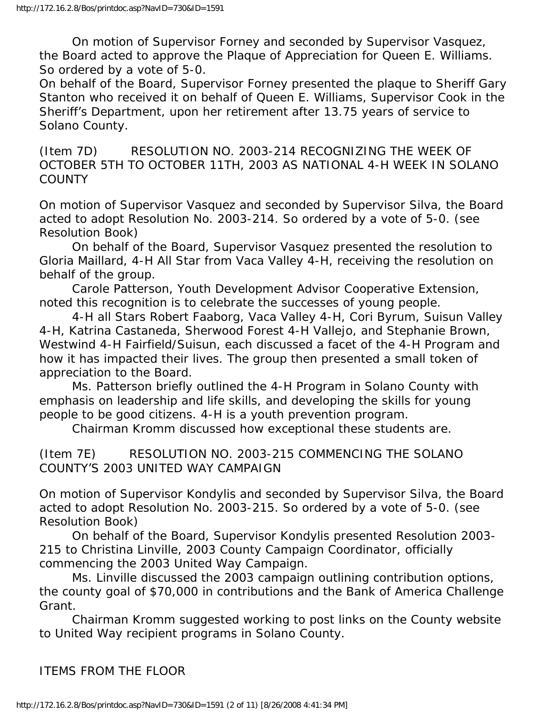On motion of Supervisor Forney and seconded by Supervisor Vasquez, the Board acted to approve the Plaque of Appreciation for Queen E. Williams. So ordered by a vote of 5-0.

On behalf of the Board, Supervisor Forney presented the plaque to Sheriff Gary Stanton who received it on behalf of Queen E. Williams, Supervisor Cook in the Sheriff's Department, upon her retirement after 13.75 years of service to Solano County.

(Item 7D) RESOLUTION NO. 2003-214 RECOGNIZING THE WEEK OF OCTOBER 5TH TO OCTOBER 11TH, 2003 AS NATIONAL 4-H WEEK IN SOLANO **COUNTY** 

On motion of Supervisor Vasquez and seconded by Supervisor Silva, the Board acted to adopt Resolution No. 2003-214. So ordered by a vote of 5-0. (see Resolution Book)

 On behalf of the Board, Supervisor Vasquez presented the resolution to Gloria Maillard, 4-H All Star from Vaca Valley 4-H, receiving the resolution on behalf of the group.

 Carole Patterson, Youth Development Advisor Cooperative Extension, noted this recognition is to celebrate the successes of young people.

 4-H all Stars Robert Faaborg, Vaca Valley 4-H, Cori Byrum, Suisun Valley 4-H, Katrina Castaneda, Sherwood Forest 4-H Vallejo, and Stephanie Brown, Westwind 4-H Fairfield/Suisun, each discussed a facet of the 4-H Program and how it has impacted their lives. The group then presented a small token of appreciation to the Board.

 Ms. Patterson briefly outlined the 4-H Program in Solano County with emphasis on leadership and life skills, and developing the skills for young people to be good citizens. 4-H is a youth prevention program.

Chairman Kromm discussed how exceptional these students are.

(Item 7E) RESOLUTION NO. 2003-215 COMMENCING THE SOLANO COUNTY'S 2003 UNITED WAY CAMPAIGN

On motion of Supervisor Kondylis and seconded by Supervisor Silva, the Board acted to adopt Resolution No. 2003-215. So ordered by a vote of 5-0. (see Resolution Book)

 On behalf of the Board, Supervisor Kondylis presented Resolution 2003- 215 to Christina Linville, 2003 County Campaign Coordinator, officially commencing the 2003 United Way Campaign.

 Ms. Linville discussed the 2003 campaign outlining contribution options, the county goal of \$70,000 in contributions and the Bank of America Challenge Grant.

 Chairman Kromm suggested working to post links on the County website to United Way recipient programs in Solano County.

ITEMS FROM THE FLOOR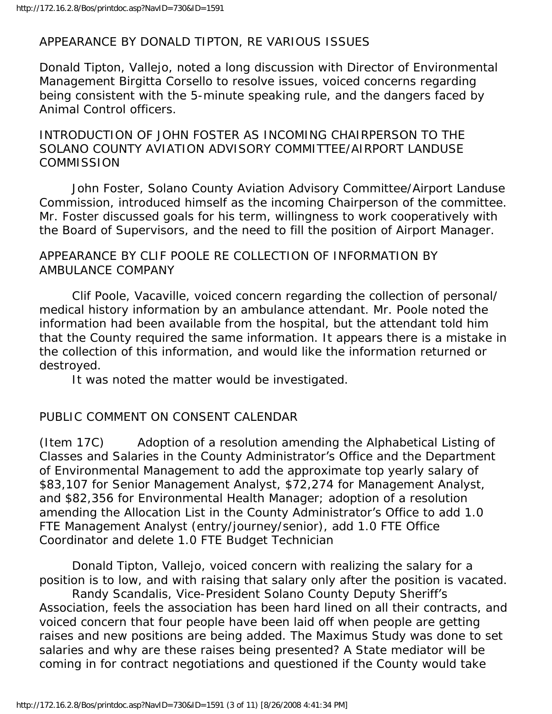### APPEARANCE BY DONALD TIPTON, RE VARIOUS ISSUES

Donald Tipton, Vallejo, noted a long discussion with Director of Environmental Management Birgitta Corsello to resolve issues, voiced concerns regarding being consistent with the 5-minute speaking rule, and the dangers faced by Animal Control officers.

INTRODUCTION OF JOHN FOSTER AS INCOMING CHAIRPERSON TO THE SOLANO COUNTY AVIATION ADVISORY COMMITTEE/AIRPORT LANDUSE **COMMISSION** 

 John Foster, Solano County Aviation Advisory Committee/Airport Landuse Commission, introduced himself as the incoming Chairperson of the committee. Mr. Foster discussed goals for his term, willingness to work cooperatively with the Board of Supervisors, and the need to fill the position of Airport Manager.

#### APPEARANCE BY CLIF POOLE RE COLLECTION OF INFORMATION BY AMBULANCE COMPANY

 Clif Poole, Vacaville, voiced concern regarding the collection of personal/ medical history information by an ambulance attendant. Mr. Poole noted the information had been available from the hospital, but the attendant told him that the County required the same information. It appears there is a mistake in the collection of this information, and would like the information returned or destroyed.

It was noted the matter would be investigated.

### PUBLIC COMMENT ON CONSENT CALENDAR

(Item 17C) Adoption of a resolution amending the Alphabetical Listing of Classes and Salaries in the County Administrator's Office and the Department of Environmental Management to add the approximate top yearly salary of \$83,107 for Senior Management Analyst, \$72,274 for Management Analyst, and \$82,356 for Environmental Health Manager; adoption of a resolution amending the Allocation List in the County Administrator's Office to add 1.0 FTE Management Analyst (entry/journey/senior), add 1.0 FTE Office Coordinator and delete 1.0 FTE Budget Technician

 Donald Tipton, Vallejo, voiced concern with realizing the salary for a position is to low, and with raising that salary only after the position is vacated.

 Randy Scandalis, Vice-President Solano County Deputy Sheriff's Association, feels the association has been hard lined on all their contracts, and voiced concern that four people have been laid off when people are getting raises and new positions are being added. The Maximus Study was done to set salaries and why are these raises being presented? A State mediator will be coming in for contract negotiations and questioned if the County would take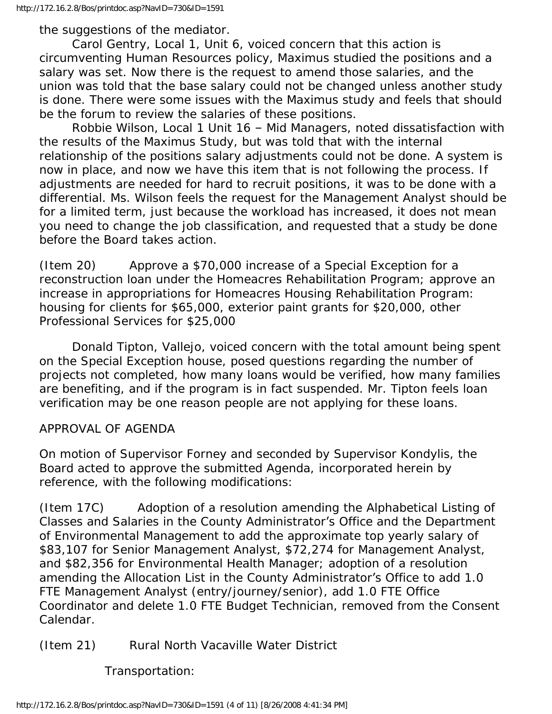the suggestions of the mediator.

 Carol Gentry, Local 1, Unit 6, voiced concern that this action is circumventing Human Resources policy, Maximus studied the positions and a salary was set. Now there is the request to amend those salaries, and the union was told that the base salary could not be changed unless another study is done. There were some issues with the Maximus study and feels that should be the forum to review the salaries of these positions.

 Robbie Wilson, Local 1 Unit 16 – Mid Managers, noted dissatisfaction with the results of the Maximus Study, but was told that with the internal relationship of the positions salary adjustments could not be done. A system is now in place, and now we have this item that is not following the process. If adjustments are needed for hard to recruit positions, it was to be done with a differential. Ms. Wilson feels the request for the Management Analyst should be for a limited term, just because the workload has increased, it does not mean you need to change the job classification, and requested that a study be done before the Board takes action.

(Item 20) Approve a \$70,000 increase of a Special Exception for a reconstruction loan under the Homeacres Rehabilitation Program; approve an increase in appropriations for Homeacres Housing Rehabilitation Program: housing for clients for \$65,000, exterior paint grants for \$20,000, other Professional Services for \$25,000

 Donald Tipton, Vallejo, voiced concern with the total amount being spent on the Special Exception house, posed questions regarding the number of projects not completed, how many loans would be verified, how many families are benefiting, and if the program is in fact suspended. Mr. Tipton feels loan verification may be one reason people are not applying for these loans.

### APPROVAL OF AGENDA

On motion of Supervisor Forney and seconded by Supervisor Kondylis, the Board acted to approve the submitted Agenda, incorporated herein by reference, with the following modifications:

(Item 17C) Adoption of a resolution amending the Alphabetical Listing of Classes and Salaries in the County Administrator's Office and the Department of Environmental Management to add the approximate top yearly salary of \$83,107 for Senior Management Analyst, \$72,274 for Management Analyst, and \$82,356 for Environmental Health Manager; adoption of a resolution amending the Allocation List in the County Administrator's Office to add 1.0 FTE Management Analyst (entry/journey/senior), add 1.0 FTE Office Coordinator and delete 1.0 FTE Budget Technician, removed from the Consent Calendar.

(Item 21) Rural North Vacaville Water District

Transportation: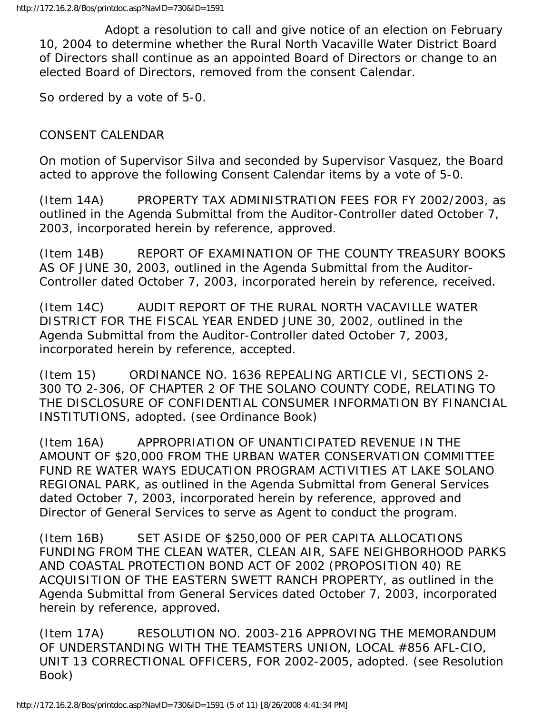Adopt a resolution to call and give notice of an election on February 10, 2004 to determine whether the Rural North Vacaville Water District Board of Directors shall continue as an appointed Board of Directors or change to an elected Board of Directors, removed from the consent Calendar.

So ordered by a vote of 5-0.

## CONSENT CALENDAR

On motion of Supervisor Silva and seconded by Supervisor Vasquez, the Board acted to approve the following Consent Calendar items by a vote of 5-0.

(Item 14A) PROPERTY TAX ADMINISTRATION FEES FOR FY 2002/2003, as outlined in the Agenda Submittal from the Auditor-Controller dated October 7, 2003, incorporated herein by reference, approved.

(Item 14B) REPORT OF EXAMINATION OF THE COUNTY TREASURY BOOKS AS OF JUNE 30, 2003, outlined in the Agenda Submittal from the Auditor-Controller dated October 7, 2003, incorporated herein by reference, received.

(Item 14C) AUDIT REPORT OF THE RURAL NORTH VACAVILLE WATER DISTRICT FOR THE FISCAL YEAR ENDED JUNE 30, 2002, outlined in the Agenda Submittal from the Auditor-Controller dated October 7, 2003, incorporated herein by reference, accepted.

(Item 15) ORDINANCE NO. 1636 REPEALING ARTICLE VI, SECTIONS 2- 300 TO 2-306, OF CHAPTER 2 OF THE SOLANO COUNTY CODE, RELATING TO THE DISCLOSURE OF CONFIDENTIAL CONSUMER INFORMATION BY FINANCIAL INSTITUTIONS, adopted. (see Ordinance Book)

(Item 16A) APPROPRIATION OF UNANTICIPATED REVENUE IN THE AMOUNT OF \$20,000 FROM THE URBAN WATER CONSERVATION COMMITTEE FUND RE WATER WAYS EDUCATION PROGRAM ACTIVITIES AT LAKE SOLANO REGIONAL PARK, as outlined in the Agenda Submittal from General Services dated October 7, 2003, incorporated herein by reference, approved and Director of General Services to serve as Agent to conduct the program.

(Item 16B) SET ASIDE OF \$250,000 OF PER CAPITA ALLOCATIONS FUNDING FROM THE CLEAN WATER, CLEAN AIR, SAFE NEIGHBORHOOD PARKS AND COASTAL PROTECTION BOND ACT OF 2002 (PROPOSITION 40) RE ACQUISITION OF THE EASTERN SWETT RANCH PROPERTY, as outlined in the Agenda Submittal from General Services dated October 7, 2003, incorporated herein by reference, approved.

(Item 17A) RESOLUTION NO. 2003-216 APPROVING THE MEMORANDUM OF UNDERSTANDING WITH THE TEAMSTERS UNION, LOCAL #856 AFL-CIO, UNIT 13 CORRECTIONAL OFFICERS, FOR 2002-2005, adopted. (see Resolution Book)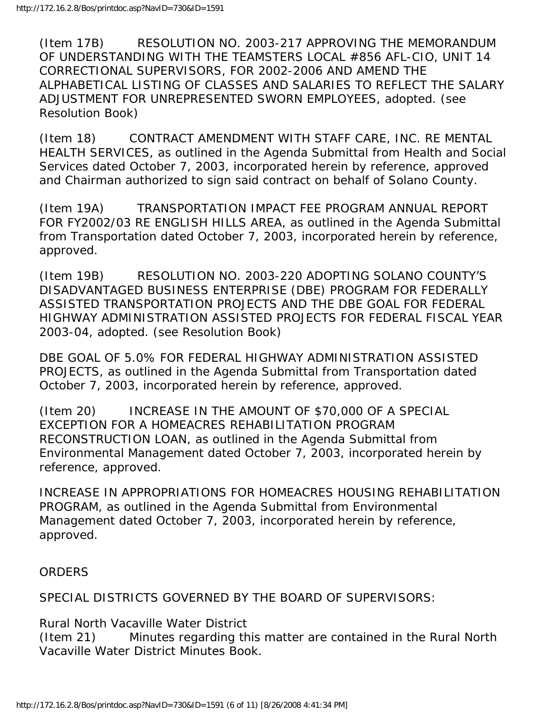(Item 17B) RESOLUTION NO. 2003-217 APPROVING THE MEMORANDUM OF UNDERSTANDING WITH THE TEAMSTERS LOCAL #856 AFL-CIO, UNIT 14 CORRECTIONAL SUPERVISORS, FOR 2002-2006 AND AMEND THE ALPHABETICAL LISTING OF CLASSES AND SALARIES TO REFLECT THE SALARY ADJUSTMENT FOR UNREPRESENTED SWORN EMPLOYEES, adopted. (see Resolution Book)

(Item 18) CONTRACT AMENDMENT WITH STAFF CARE, INC. RE MENTAL HEALTH SERVICES, as outlined in the Agenda Submittal from Health and Social Services dated October 7, 2003, incorporated herein by reference, approved and Chairman authorized to sign said contract on behalf of Solano County.

(Item 19A) TRANSPORTATION IMPACT FEE PROGRAM ANNUAL REPORT FOR FY2002/03 RE ENGLISH HILLS AREA, as outlined in the Agenda Submittal from Transportation dated October 7, 2003, incorporated herein by reference, approved.

(Item 19B) RESOLUTION NO. 2003-220 ADOPTING SOLANO COUNTY'S DISADVANTAGED BUSINESS ENTERPRISE (DBE) PROGRAM FOR FEDERALLY ASSISTED TRANSPORTATION PROJECTS AND THE DBE GOAL FOR FEDERAL HIGHWAY ADMINISTRATION ASSISTED PROJECTS FOR FEDERAL FISCAL YEAR 2003-04, adopted. (see Resolution Book)

DBE GOAL OF 5.0% FOR FEDERAL HIGHWAY ADMINISTRATION ASSISTED PROJECTS, as outlined in the Agenda Submittal from Transportation dated October 7, 2003, incorporated herein by reference, approved.

(Item 20) INCREASE IN THE AMOUNT OF \$70,000 OF A SPECIAL EXCEPTION FOR A HOMEACRES REHABILITATION PROGRAM RECONSTRUCTION LOAN, as outlined in the Agenda Submittal from Environmental Management dated October 7, 2003, incorporated herein by reference, approved.

INCREASE IN APPROPRIATIONS FOR HOMEACRES HOUSING REHABILITATION PROGRAM, as outlined in the Agenda Submittal from Environmental Management dated October 7, 2003, incorporated herein by reference, approved.

ORDERS

SPECIAL DISTRICTS GOVERNED BY THE BOARD OF SUPERVISORS:

Rural North Vacaville Water District (Item 21) Minutes regarding this matter are contained in the Rural North Vacaville Water District Minutes Book.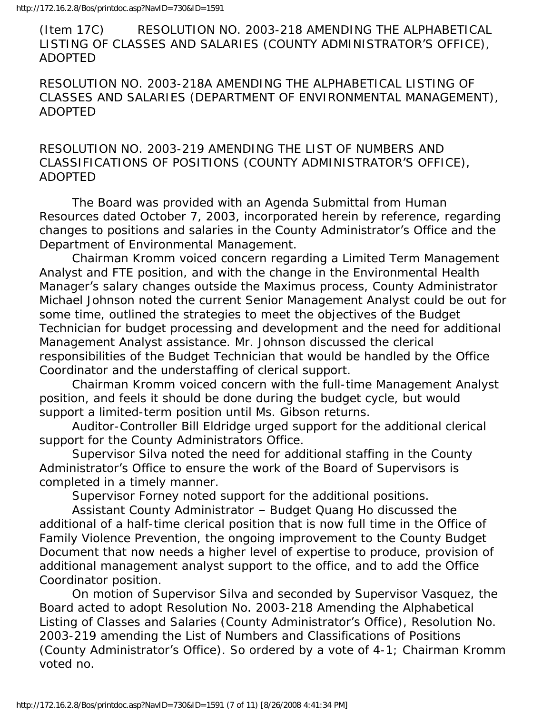(Item 17C) RESOLUTION NO. 2003-218 AMENDING THE ALPHABETICAL LISTING OF CLASSES AND SALARIES (COUNTY ADMINISTRATOR'S OFFICE), ADOPTED

RESOLUTION NO. 2003-218A AMENDING THE ALPHABETICAL LISTING OF CLASSES AND SALARIES (DEPARTMENT OF ENVIRONMENTAL MANAGEMENT), ADOPTED

RESOLUTION NO. 2003-219 AMENDING THE LIST OF NUMBERS AND CLASSIFICATIONS OF POSITIONS (COUNTY ADMINISTRATOR'S OFFICE), ADOPTED

 The Board was provided with an Agenda Submittal from Human Resources dated October 7, 2003, incorporated herein by reference, regarding changes to positions and salaries in the County Administrator's Office and the Department of Environmental Management.

 Chairman Kromm voiced concern regarding a Limited Term Management Analyst and FTE position, and with the change in the Environmental Health Manager's salary changes outside the Maximus process, County Administrator Michael Johnson noted the current Senior Management Analyst could be out for some time, outlined the strategies to meet the objectives of the Budget Technician for budget processing and development and the need for additional Management Analyst assistance. Mr. Johnson discussed the clerical responsibilities of the Budget Technician that would be handled by the Office Coordinator and the understaffing of clerical support.

 Chairman Kromm voiced concern with the full-time Management Analyst position, and feels it should be done during the budget cycle, but would support a limited-term position until Ms. Gibson returns.

 Auditor-Controller Bill Eldridge urged support for the additional clerical support for the County Administrators Office.

 Supervisor Silva noted the need for additional staffing in the County Administrator's Office to ensure the work of the Board of Supervisors is completed in a timely manner.

Supervisor Forney noted support for the additional positions.

 Assistant County Administrator – Budget Quang Ho discussed the additional of a half-time clerical position that is now full time in the Office of Family Violence Prevention, the ongoing improvement to the County Budget Document that now needs a higher level of expertise to produce, provision of additional management analyst support to the office, and to add the Office Coordinator position.

 On motion of Supervisor Silva and seconded by Supervisor Vasquez, the Board acted to adopt Resolution No. 2003-218 Amending the Alphabetical Listing of Classes and Salaries (County Administrator's Office), Resolution No. 2003-219 amending the List of Numbers and Classifications of Positions (County Administrator's Office). So ordered by a vote of 4-1; Chairman Kromm voted no.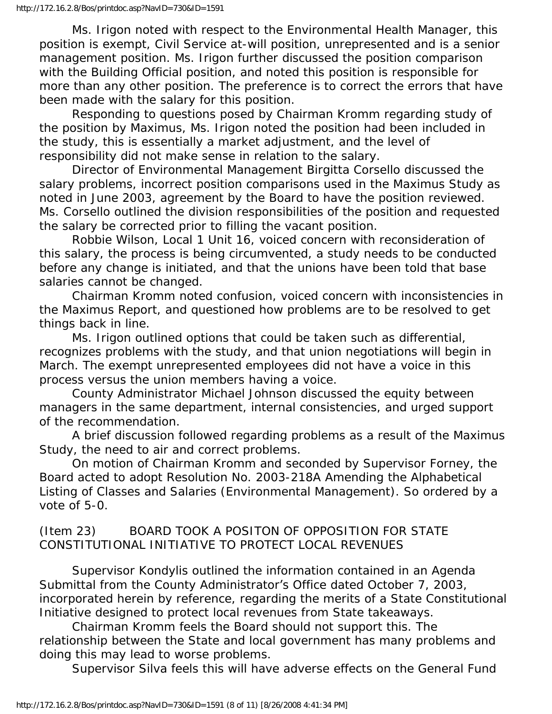Ms. Irigon noted with respect to the Environmental Health Manager, this position is exempt, Civil Service at-will position, unrepresented and is a senior management position. Ms. Irigon further discussed the position comparison with the Building Official position, and noted this position is responsible for more than any other position. The preference is to correct the errors that have been made with the salary for this position.

 Responding to questions posed by Chairman Kromm regarding study of the position by Maximus, Ms. Irigon noted the position had been included in the study, this is essentially a market adjustment, and the level of responsibility did not make sense in relation to the salary.

 Director of Environmental Management Birgitta Corsello discussed the salary problems, incorrect position comparisons used in the Maximus Study as noted in June 2003, agreement by the Board to have the position reviewed. Ms. Corsello outlined the division responsibilities of the position and requested the salary be corrected prior to filling the vacant position.

 Robbie Wilson, Local 1 Unit 16, voiced concern with reconsideration of this salary, the process is being circumvented, a study needs to be conducted before any change is initiated, and that the unions have been told that base salaries cannot be changed.

 Chairman Kromm noted confusion, voiced concern with inconsistencies in the Maximus Report, and questioned how problems are to be resolved to get things back in line.

 Ms. Irigon outlined options that could be taken such as differential, recognizes problems with the study, and that union negotiations will begin in March. The exempt unrepresented employees did not have a voice in this process versus the union members having a voice.

 County Administrator Michael Johnson discussed the equity between managers in the same department, internal consistencies, and urged support of the recommendation.

 A brief discussion followed regarding problems as a result of the Maximus Study, the need to air and correct problems.

 On motion of Chairman Kromm and seconded by Supervisor Forney, the Board acted to adopt Resolution No. 2003-218A Amending the Alphabetical Listing of Classes and Salaries (Environmental Management). So ordered by a vote of 5-0.

## (Item 23) BOARD TOOK A POSITON OF OPPOSITION FOR STATE CONSTITUTIONAL INITIATIVE TO PROTECT LOCAL REVENUES

 Supervisor Kondylis outlined the information contained in an Agenda Submittal from the County Administrator's Office dated October 7, 2003, incorporated herein by reference, regarding the merits of a State Constitutional Initiative designed to protect local revenues from State takeaways.

 Chairman Kromm feels the Board should not support this. The relationship between the State and local government has many problems and doing this may lead to worse problems.

Supervisor Silva feels this will have adverse effects on the General Fund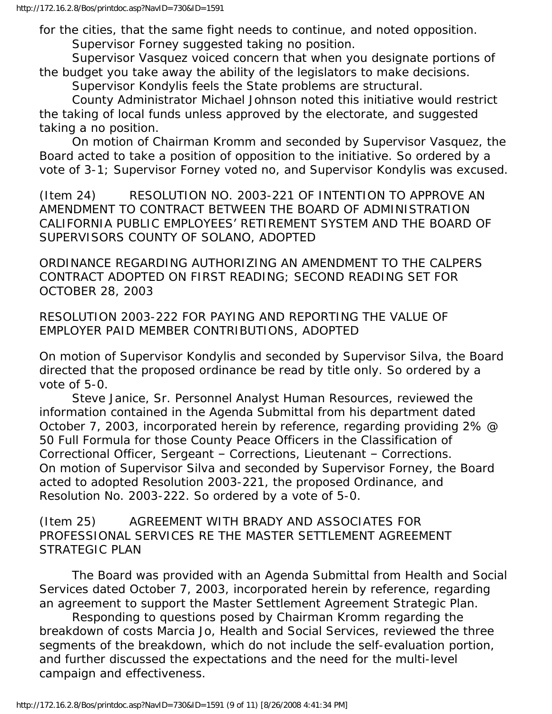for the cities, that the same fight needs to continue, and noted opposition. Supervisor Forney suggested taking no position.

 Supervisor Vasquez voiced concern that when you designate portions of the budget you take away the ability of the legislators to make decisions. Supervisor Kondylis feels the State problems are structural.

 County Administrator Michael Johnson noted this initiative would restrict the taking of local funds unless approved by the electorate, and suggested taking a no position.

 On motion of Chairman Kromm and seconded by Supervisor Vasquez, the Board acted to take a position of opposition to the initiative. So ordered by a vote of 3-1; Supervisor Forney voted no, and Supervisor Kondylis was excused.

(Item 24) RESOLUTION NO. 2003-221 OF INTENTION TO APPROVE AN AMENDMENT TO CONTRACT BETWEEN THE BOARD OF ADMINISTRATION CALIFORNIA PUBLIC EMPLOYEES' RETIREMENT SYSTEM AND THE BOARD OF SUPERVISORS COUNTY OF SOLANO, ADOPTED

ORDINANCE REGARDING AUTHORIZING AN AMENDMENT TO THE CALPERS CONTRACT ADOPTED ON FIRST READING; SECOND READING SET FOR OCTOBER 28, 2003

RESOLUTION 2003-222 FOR PAYING AND REPORTING THE VALUE OF EMPLOYER PAID MEMBER CONTRIBUTIONS, ADOPTED

On motion of Supervisor Kondylis and seconded by Supervisor Silva, the Board directed that the proposed ordinance be read by title only. So ordered by a vote of 5-0.

 Steve Janice, Sr. Personnel Analyst Human Resources, reviewed the information contained in the Agenda Submittal from his department dated October 7, 2003, incorporated herein by reference, regarding providing 2% @ 50 Full Formula for those County Peace Officers in the Classification of Correctional Officer, Sergeant – Corrections, Lieutenant – Corrections. On motion of Supervisor Silva and seconded by Supervisor Forney, the Board acted to adopted Resolution 2003-221, the proposed Ordinance, and Resolution No. 2003-222. So ordered by a vote of 5-0.

(Item 25) AGREEMENT WITH BRADY AND ASSOCIATES FOR PROFESSIONAL SERVICES RE THE MASTER SETTLEMENT AGREEMENT STRATEGIC PLAN

 The Board was provided with an Agenda Submittal from Health and Social Services dated October 7, 2003, incorporated herein by reference, regarding an agreement to support the Master Settlement Agreement Strategic Plan.

 Responding to questions posed by Chairman Kromm regarding the breakdown of costs Marcia Jo, Health and Social Services, reviewed the three segments of the breakdown, which do not include the self-evaluation portion, and further discussed the expectations and the need for the multi-level campaign and effectiveness.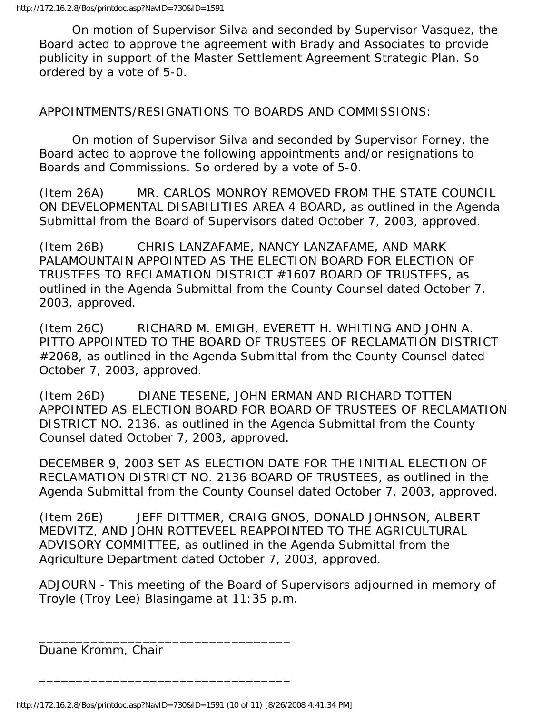On motion of Supervisor Silva and seconded by Supervisor Vasquez, the Board acted to approve the agreement with Brady and Associates to provide publicity in support of the Master Settlement Agreement Strategic Plan. So ordered by a vote of 5-0.

APPOINTMENTS/RESIGNATIONS TO BOARDS AND COMMISSIONS:

 On motion of Supervisor Silva and seconded by Supervisor Forney, the Board acted to approve the following appointments and/or resignations to Boards and Commissions. So ordered by a vote of 5-0.

(Item 26A) MR. CARLOS MONROY REMOVED FROM THE STATE COUNCIL ON DEVELOPMENTAL DISABILITIES AREA 4 BOARD, as outlined in the Agenda Submittal from the Board of Supervisors dated October 7, 2003, approved.

(Item 26B) CHRIS LANZAFAME, NANCY LANZAFAME, AND MARK PALAMOUNTAIN APPOINTED AS THE ELECTION BOARD FOR ELECTION OF TRUSTEES TO RECLAMATION DISTRICT #1607 BOARD OF TRUSTEES, as outlined in the Agenda Submittal from the County Counsel dated October 7, 2003, approved.

(Item 26C) RICHARD M. EMIGH, EVERETT H. WHITING AND JOHN A. PITTO APPOINTED TO THE BOARD OF TRUSTEES OF RECLAMATION DISTRICT #2068, as outlined in the Agenda Submittal from the County Counsel dated October 7, 2003, approved.

(Item 26D) DIANE TESENE, JOHN ERMAN AND RICHARD TOTTEN APPOINTED AS ELECTION BOARD FOR BOARD OF TRUSTEES OF RECLAMATION DISTRICT NO. 2136, as outlined in the Agenda Submittal from the County Counsel dated October 7, 2003, approved.

DECEMBER 9, 2003 SET AS ELECTION DATE FOR THE INITIAL ELECTION OF RECLAMATION DISTRICT NO. 2136 BOARD OF TRUSTEES, as outlined in the Agenda Submittal from the County Counsel dated October 7, 2003, approved.

(Item 26E) JEFF DITTMER, CRAIG GNOS, DONALD JOHNSON, ALBERT MEDVITZ, AND JOHN ROTTEVEEL REAPPOINTED TO THE AGRICULTURAL ADVISORY COMMITTEE, as outlined in the Agenda Submittal from the Agriculture Department dated October 7, 2003, approved.

ADJOURN - This meeting of the Board of Supervisors adjourned in memory of Troyle (Troy Lee) Blasingame at 11:35 p.m.

Duane Kromm, Chair

\_\_\_\_\_\_\_\_\_\_\_\_\_\_\_\_\_\_\_\_\_\_\_\_\_\_\_\_\_\_\_\_\_\_

\_\_\_\_\_\_\_\_\_\_\_\_\_\_\_\_\_\_\_\_\_\_\_\_\_\_\_\_\_\_\_\_\_\_

http://172.16.2.8/Bos/printdoc.asp?NavID=730&ID=1591 (10 of 11) [8/26/2008 4:41:34 PM]